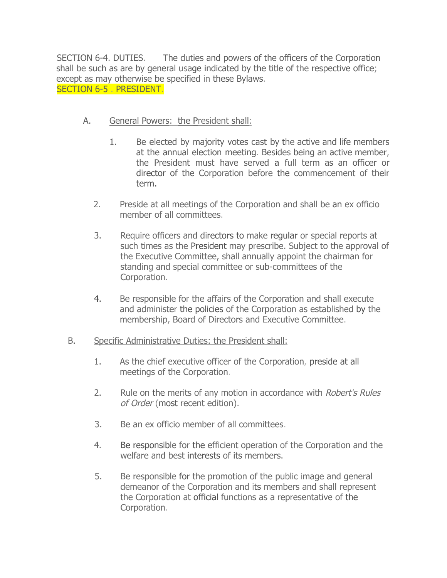SECTION 6-4. DUTIES. The duties and powers of the officers of the Corporation shall be such as are by general usage indicated by the title of the respective office; except as may otherwise be specified in these Bylaws. SECTION 6-5 . PRESIDENT.

- A. General Powers: the President shall:
	- 1. Be elected by majority votes cast by the active and life members at the annual election meeting. Besides being an active member, the President must have served a full term as an officer or director of the Corporation before the commencement of their term.
	- 2. Preside at all meetings of the Corporation and shall be an ex officio member of all committees.
	- 3. Require officers and directors to make regular or special reports at such times as the President may prescribe. Subject to the approval of the Executive Committee, shall annually appoint the chairman for standing and special committee or sub-committees of the Corporation.
	- 4. Be responsible for the affairs of the Corporation and shall execute and administer the policies of the Corporation as established by the membership, Board of Directors and Executive Committee.

### B. Specific Administrative Duties: the President shall:

- 1. As the chief executive officer of the Corporation, preside at all meetings of the Corporation.
- 2. Rule on the merits of any motion in accordance with Robert's Rules of Order (most recent edition).
- 3. Be an ex officio member of all committees.
- 4. Be responsible for the efficient operation of the Corporation and the welfare and best interests of its members.
- 5. Be responsible for the promotion of the public image and general demeanor of the Corporation and its members and shall represent the Corporation at official functions as a representative of the Corporation.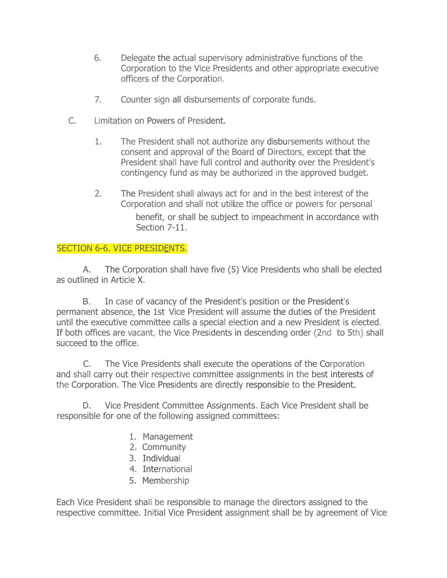- 6. Delegate the actual supervisory administrative functions of the Corporation to the Vice Presidents and other appropriate executive officers of the Corporation.
- 7. Counter sign all disbursements of corporate funds.
- C. Limitation on Powers of President.
	- 1. The President shall not authorize any disbursements without the consent and approval of the Board of Directors, except that the President shall have full control and authority over the President's contingency fund as may be authorized in the approved budget.
	- 2. The President shall always act for and in the best interest of the Corporation and shall not utilize the office or powers for personal benefit, or shall be subject to impeachment in accordance with Section 7-11.

## SECTION 6-6. VICE PRESIDENTS.

A. The Corporation shall have five (5) Vice Presidents who shall be elected as outlined in Article X.

B. In case of vacancy of the President's position or the President's permanent absence, the 1st Vice President will assume the duties of the President until the executive committee calls a special election and a new President is elected. If both offices are vacant, the Vice Presidents in descending order (2nd to 5th) shall succeed to the office.

C. The Vice Presidents shall execute the operations of the Corporation and shall carry out their respective committee assignments in the best interests of the Corporation. The Vice Presidents are directly responsible to the President.

D. Vice President Committee Assignments. Each Vice President shall be responsible for one of the following assigned committees:

- 1. Management
- 2. Community
- 3. Individual
- 4. International
- 5. Membership

Each Vice President shall be responsible to manage the directors assigned to the respective committee. Initial Vice President assignment shall be by agreement of Vice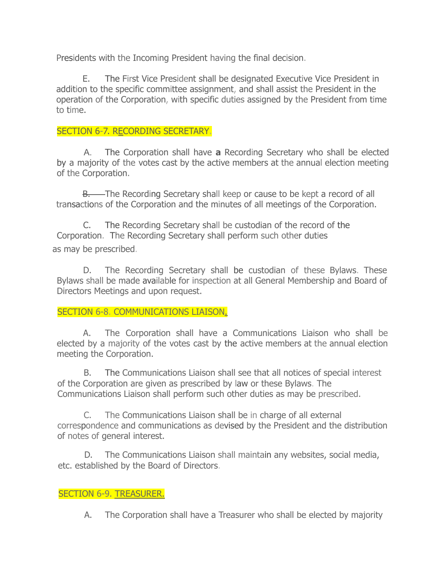Presidents with the Incoming President having the final decision.

E. The First Vice President shall be designated Executive Vice President in addition to the specific committee assignment, and shall assist the President in the operation of the Corporation, with specific duties assigned by the President from time to time.

## SECTION 6-7. RECORDING SECRETARY.

A. The Corporation shall have **a** Recording Secretary who shall be elected by a majority of the votes cast by the active members at the annual election meeting of the Corporation.

B. The Recording Secretary shall keep or cause to be kept a record of all transactions of the Corporation and the minutes of all meetings of the Corporation.

C. The Recording Secretary shall be custodian of the record of the Corporation. The Recording Secretary shall perform such other duties as may be prescribed.

D. The Recording Secretary shall be custodian of these Bylaws. These Bylaws shall be made available for inspection at all General Membership and Board of Directors Meetings and upon request.

# SECTION 6-8. COMMUNICATIONS LIAISON.

A. The Corporation shall have a Communications Liaison who shall be elected by a majority of the votes cast by the active members at the annual election meeting the Corporation.

B. The Communications Liaison shall see that all notices of special interest of the Corporation are given as prescribed by law or these Bylaws. The Communications Liaison shall perform such other duties as may be prescribed.

C. The Communications Liaison shall be in charge of all external correspondence and communications as devised by the President and the distribution of notes of general interest.

D. The Communications Liaison shall maintain any websites, social media, etc. established by the Board of Directors.

### SECTION 6-9. TREASURER.

A. The Corporation shall have a Treasurer who shall be elected by majority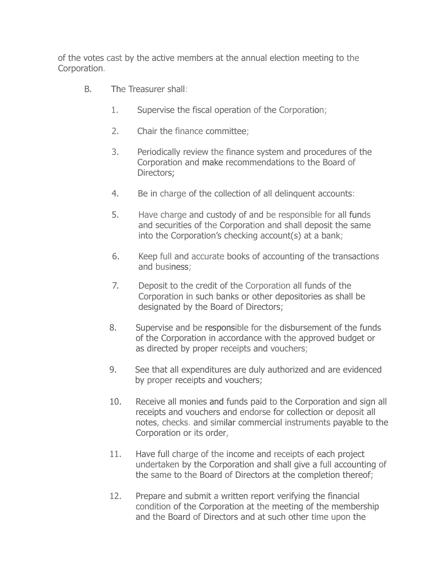of the votes cast by the active members at the annual election meeting to the Corporation.

- B. The Treasurer shall:
	- 1. Supervise the fiscal operation of the Corporation;
	- 2. Chair the finance committee;
	- 3. Periodically review the finance system and procedures of the Corporation and make recommendations to the Board of Directors;
	- 4. Be in charge of the collection of all delinquent accounts:
	- 5. Have charge and custody of and be responsible for all funds and securities of the Corporation and shall deposit the same into the Corporation's checking account(s) at a bank;
	- 6. Keep full and accurate books of accounting of the transactions and business;
	- 7. Deposit to the credit of the Corporation all funds of the Corporation in such banks or other depositories as shall be designated by the Board of Directors;
	- 8. Supervise and be responsible for the disbursement of the funds of the Corporation in accordance with the approved budget or as directed by proper receipts and vouchers;
	- 9. See that all expenditures are duly authorized and are evidenced by proper receipts and vouchers;
	- 10. Receive all monies and funds paid to the Corporation and sign all receipts and vouchers and endorse for collection or deposit all notes, checks. and similar commercial instruments payable to the Corporation or its order,
	- 11. Have full charge of the income and receipts of each project undertaken by the Corporation and shall give a full accounting of the same to the Board of Directors at the completion thereof;
	- 12. Prepare and submit a written report verifying the financial condition of the Corporation at the meeting of the membership and the Board of Directors and at such other time upon the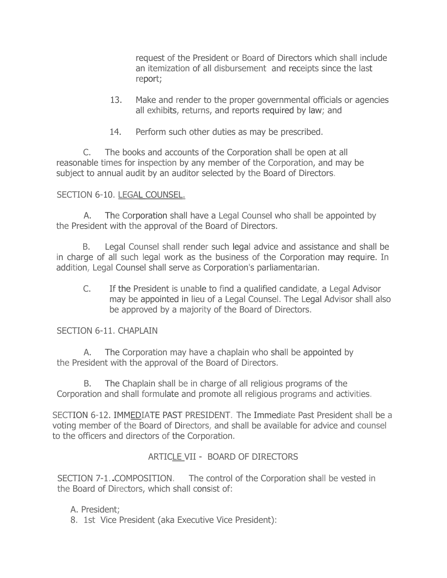request of the President or Board of Directors which shall include an itemization of all disbursement and receipts since the last report;

- 13. Make and render to the proper governmental officials or agencies all exhibits, returns, and reports required by law; and
- 14. Perform such other duties as may be prescribed.

C. The books and accounts of the Corporation shall be open at all reasonable times for inspection by any member of the Corporation, and may be subject to annual audit by an auditor selected by the Board of Directors.

# SECTION 6-10. LEGAL COUNSEL.

A. The Corporation shall have a Legal Counsel who shall be appointed by the President with the approval of the Board of Directors.

B. Legal Counsel shall render such legal advice and assistance and shall be in charge of all such legal work as the business of the Corporation may require. In addition, Legal Counsel shall serve as Corporation's parliamentarian.

C. If the President is unable to find a qualified candidate, a Legal Advisor may be appointed in lieu of a Legal Counsel. The Legal Advisor shall also be approved by a majority of the Board of Directors.

### SECTION 6-11. CHAPLAIN

A. The Corporation may have a chaplain who shall be appointed by the President with the approval of the Board of Directors.

B. The Chaplain shall be in charge of all religious programs of the Corporation and shall formulate and promote all religious programs and activities.

SECTION 6-12. IMMEDIATE PAST PRESIDENT. The Immediate Past President shall be a voting member of the Board of Directors, and shall be available for advice and counsel to the officers and directors of the Corporation.

# ARTICLE VII - BOARD OF DIRECTORS

SECTION 7-1. COMPOSITION. The control of the Corporation shall be vested in the Board of Directors, which shall consist of:

A. President;

8. 1st Vice President (aka Executive Vice President):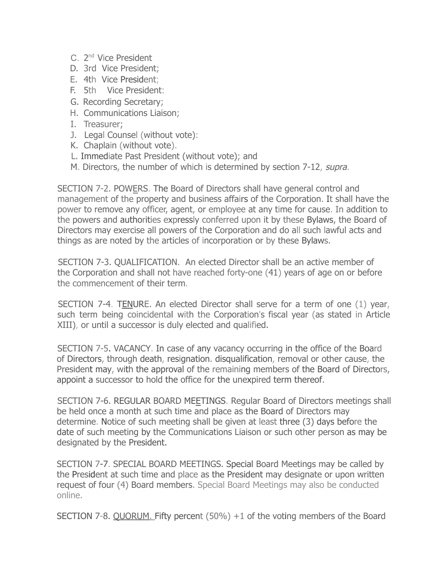- C. 2<sup>nd</sup> Vice President
- D. 3rd Vice President;
- E. 4th Vice President;
- F. 5th Vice President:
- G. Recording Secretary;
- H. Communications Liaison;
- I. Treasurer;
- J. Legal Counsel (without vote):
- K. Chaplain (without vote).
- L. Immediate Past President (without vote); and
- M. Directors, the number of which is determined by section 7-12, supra.

SECTION 7-2. POWERS. The Board of Directors shall have general control and management of the property and business affairs of the Corporation. It shall have the power to remove any officer, agent, or employee at any time for cause. In addition to the powers and authorities expressly conferred upon it by these Bylaws, the Board of Directors may exercise all powers of the Corporation and do all such lawful acts and things as are noted by the articles of incorporation or by these Bylaws.

SECTION 7-3. QUALIFICATION. An elected Director shall be an active member of the Corporation and shall not have reached forty-one (41) years of age on or before the commencement of their term.

SECTION 7-4. TENURE. An elected Director shall serve for a term of one (1) year, such term being coincidental with the Corporation's fiscal year (as stated in Article XIII), or until a successor is duly elected and qualified.

SECTION 7-5. VACANCY. In case of any vacancy occurring in the office of the Board of Directors, through death, resignation. disqualification, removal or other cause, the President may, with the approval of the remaining members of the Board of Directors, appoint a successor to hold the office for the unexpired term thereof.

SECTION 7-6. REGULAR BOARD MEETINGS. Regular Board of Directors meetings shall be held once a month at such time and place as the Board of Directors may determine. Notice of such meeting shall be given at least three (3) days before the date of such meeting by the Communications Liaison or such other person as may be designated by the President.

SECTION 7-7. SPECIAL BOARD MEETINGS. Special Board Meetings may be called by the President at such time and place as the President may designate or upon written request of four (4) Board members. Special Board Meetings may also be conducted online.

SECTION 7-8. QUORUM. Fifty percent (50%) +1 of the voting members of the Board